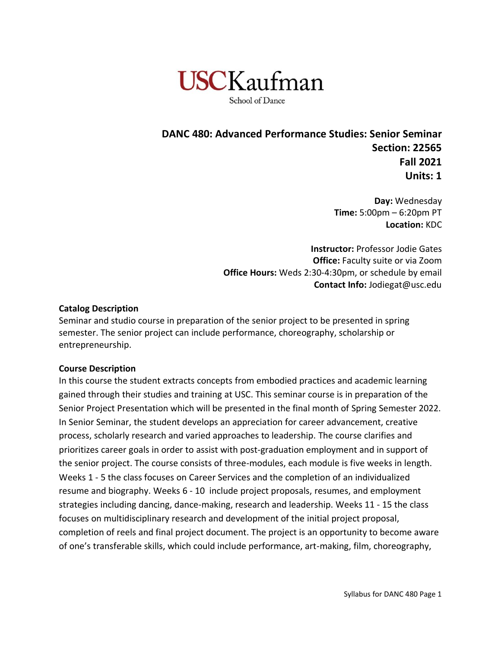

**DANC 480: Advanced Performance Studies: Senior Seminar Section: 22565 Fall 2021 Units: 1**

> **Day:** Wednesday **Time:** 5:00pm – 6:20pm PT **Location:** KDC

**Instructor:** Professor Jodie Gates **Office:** Faculty suite or via Zoom **Office Hours:** Weds 2:30-4:30pm, or schedule by email **Contact Info:** Jodiegat@usc.edu

### **Catalog Description**

Seminar and studio course in preparation of the senior project to be presented in spring semester. The senior project can include performance, choreography, scholarship or entrepreneurship.

#### **Course Description**

In this course the student extracts concepts from embodied practices and academic learning gained through their studies and training at USC. This seminar course is in preparation of the Senior Project Presentation which will be presented in the final month of Spring Semester 2022. In Senior Seminar, the student develops an appreciation for career advancement, creative process, scholarly research and varied approaches to leadership. The course clarifies and prioritizes career goals in order to assist with post-graduation employment and in support of the senior project. The course consists of three-modules, each module is five weeks in length. Weeks 1 - 5 the class focuses on Career Services and the completion of an individualized resume and biography. Weeks 6 - 10 include project proposals, resumes, and employment strategies including dancing, dance-making, research and leadership. Weeks 11 - 15 the class focuses on multidisciplinary research and development of the initial project proposal, completion of reels and final project document. The project is an opportunity to become aware of one's transferable skills, which could include performance, art-making, film, choreography,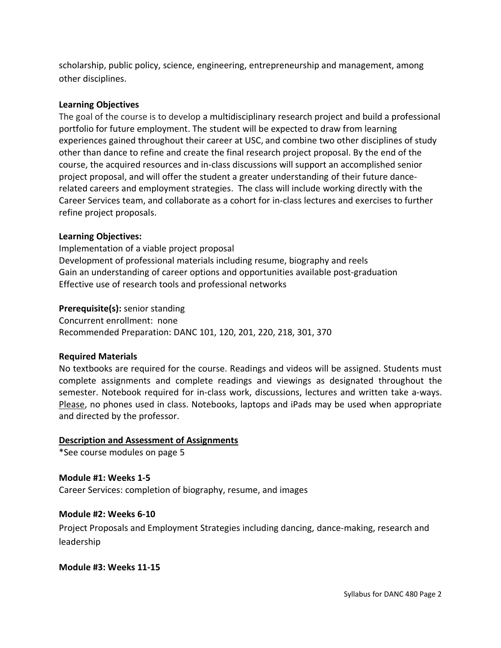scholarship, public policy, science, engineering, entrepreneurship and management, among other disciplines.

### **Learning Objectives**

The goal of the course is to develop a multidisciplinary research project and build a professional portfolio for future employment. The student will be expected to draw from learning experiences gained throughout their career at USC, and combine two other disciplines of study other than dance to refine and create the final research project proposal. By the end of the course, the acquired resources and in-class discussions will support an accomplished senior project proposal, and will offer the student a greater understanding of their future dancerelated careers and employment strategies. The class will include working directly with the Career Services team, and collaborate as a cohort for in-class lectures and exercises to further refine project proposals.

#### **Learning Objectives:**

Implementation of a viable project proposal Development of professional materials including resume, biography and reels Gain an understanding of career options and opportunities available post-graduation Effective use of research tools and professional networks

#### **Prerequisite(s):** senior standing

Concurrent enrollment: none Recommended Preparation: DANC 101, 120, 201, 220, 218, 301, 370

#### **Required Materials**

No textbooks are required for the course. Readings and videos will be assigned. Students must complete assignments and complete readings and viewings as designated throughout the semester. Notebook required for in-class work, discussions, lectures and written take a-ways. Please, no phones used in class. Notebooks, laptops and iPads may be used when appropriate and directed by the professor.

#### **Description and Assessment of Assignments**

\*See course modules on page 5

#### **Module #1: Weeks 1-5**

Career Services: completion of biography, resume, and images

#### **Module #2: Weeks 6-10**

Project Proposals and Employment Strategies including dancing, dance-making, research and leadership

#### **Module #3: Weeks 11-15**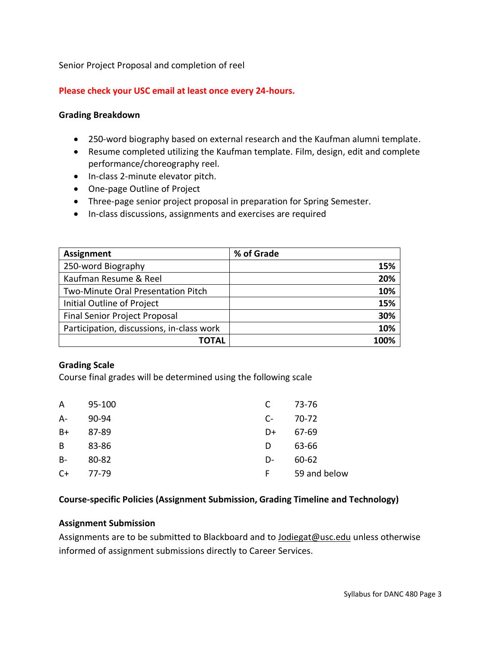Senior Project Proposal and completion of reel

### **Please check your USC email at least once every 24-hours.**

#### **Grading Breakdown**

- 250-word biography based on external research and the Kaufman alumni template.
- Resume completed utilizing the Kaufman template. Film, design, edit and complete performance/choreography reel.
- In-class 2-minute elevator pitch.
- One-page Outline of Project
- Three-page senior project proposal in preparation for Spring Semester.
- In-class discussions, assignments and exercises are required

| Assignment                                | % of Grade |
|-------------------------------------------|------------|
| 250-word Biography                        | 15%        |
| Kaufman Resume & Reel                     | 20%        |
| Two-Minute Oral Presentation Pitch        | 10%        |
| Initial Outline of Project                | 15%        |
| <b>Final Senior Project Proposal</b>      | 30%        |
| Participation, discussions, in-class work | 10%        |
| ΤΟΤΑΙ                                     | 100%       |

#### **Grading Scale**

Course final grades will be determined using the following scale

| A     | 95-100 | C    | 73-76        |
|-------|--------|------|--------------|
| $A -$ | 90-94  | $C-$ | 70-72        |
| $B+$  | 87-89  | D+   | 67-69        |
| B     | 83-86  | D    | 63-66        |
| $B -$ | 80-82  | D-   | 60-62        |
| $C+$  | 77-79  | F.   | 59 and below |

#### **Course-specific Policies (Assignment Submission, Grading Timeline and Technology)**

#### **Assignment Submission**

Assignments are to be submitted to Blackboard and to [Jodiegat@usc.edu](mailto:Jodiegat@usc.edu) unless otherwise informed of assignment submissions directly to Career Services.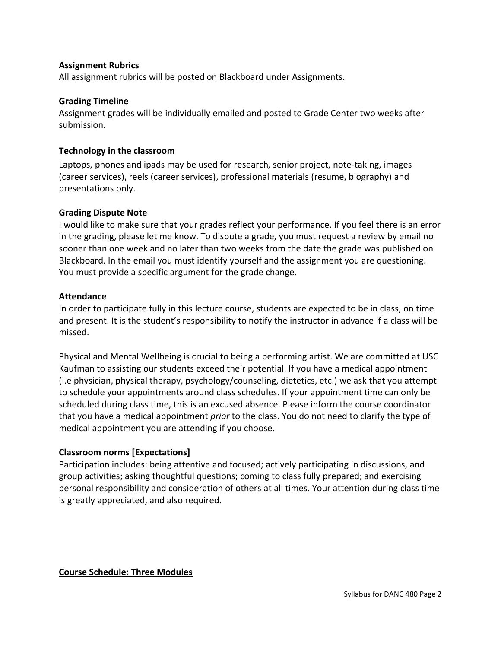# **Assignment Rubrics**

All assignment rubrics will be posted on Blackboard under Assignments.

# **Grading Timeline**

Assignment grades will be individually emailed and posted to Grade Center two weeks after submission.

# **Technology in the classroom**

Laptops, phones and ipads may be used for research, senior project, note-taking, images (career services), reels (career services), professional materials (resume, biography) and presentations only.

# **Grading Dispute Note**

I would like to make sure that your grades reflect your performance. If you feel there is an error in the grading, please let me know. To dispute a grade, you must request a review by email no sooner than one week and no later than two weeks from the date the grade was published on Blackboard. In the email you must identify yourself and the assignment you are questioning. You must provide a specific argument for the grade change.

### **Attendance**

In order to participate fully in this lecture course, students are expected to be in class, on time and present. It is the student's responsibility to notify the instructor in advance if a class will be missed.

Physical and Mental Wellbeing is crucial to being a performing artist. We are committed at USC Kaufman to assisting our students exceed their potential. If you have a medical appointment (i.e physician, physical therapy, psychology/counseling, dietetics, etc.) we ask that you attempt to schedule your appointments around class schedules. If your appointment time can only be scheduled during class time, this is an excused absence. Please inform the course coordinator that you have a medical appointment *prior* to the class. You do not need to clarify the type of medical appointment you are attending if you choose.

# **Classroom norms [Expectations]**

Participation includes: being attentive and focused; actively participating in discussions, and group activities; asking thoughtful questions; coming to class fully prepared; and exercising personal responsibility and consideration of others at all times. Your attention during class time is greatly appreciated, and also required.

### **Course Schedule: Three Modules**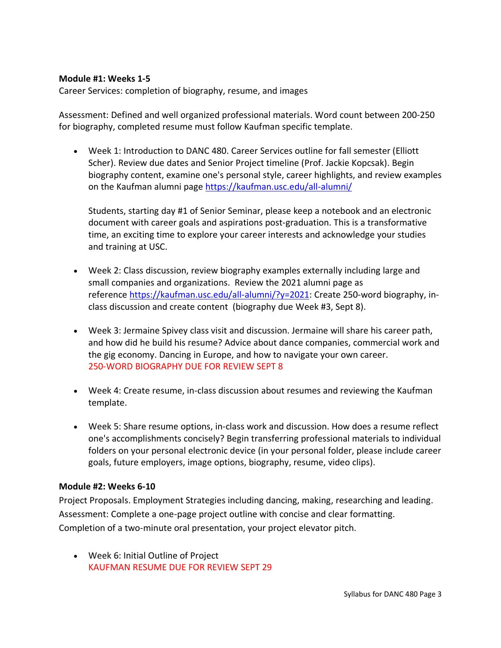#### **Module #1: Weeks 1-5**

Career Services: completion of biography, resume, and images

Assessment: Defined and well organized professional materials. Word count between 200-250 for biography, completed resume must follow Kaufman specific template.

• Week 1: Introduction to DANC 480. Career Services outline for fall semester (Elliott Scher). Review due dates and Senior Project timeline (Prof. Jackie Kopcsak). Begin biography content, examine one's personal style, career highlights, and review examples on the Kaufman alumni page <https://kaufman.usc.edu/all-alumni/>

Students, starting day #1 of Senior Seminar, please keep a notebook and an electronic document with career goals and aspirations post-graduation. This is a transformative time, an exciting time to explore your career interests and acknowledge your studies and training at USC.

- Week 2: Class discussion, review biography examples externally including large and small companies and organizations. Review the 2021 alumni page as reference [https://kaufman.usc.edu/all-alumni/?y=2021:](https://kaufman.usc.edu/all-alumni/?y=2021) Create 250-word biography, inclass discussion and create content (biography due Week #3, Sept 8).
- Week 3: Jermaine Spivey class visit and discussion. Jermaine will share his career path, and how did he build his resume? Advice about dance companies, commercial work and the gig economy. Dancing in Europe, and how to navigate your own career. 250-WORD BIOGRAPHY DUE FOR REVIEW SEPT 8
- Week 4: Create resume, in-class discussion about resumes and reviewing the Kaufman template.
- Week 5: Share resume options, in-class work and discussion. How does a resume reflect one's accomplishments concisely? Begin transferring professional materials to individual folders on your personal electronic device (in your personal folder, please include career goals, future employers, image options, biography, resume, video clips).

#### **Module #2: Weeks 6-10**

Project Proposals. Employment Strategies including dancing, making, researching and leading. Assessment: Complete a one-page project outline with concise and clear formatting. Completion of a two-minute oral presentation, your project elevator pitch.

• Week 6: Initial Outline of Project KAUFMAN RESUME DUE FOR REVIEW SEPT 29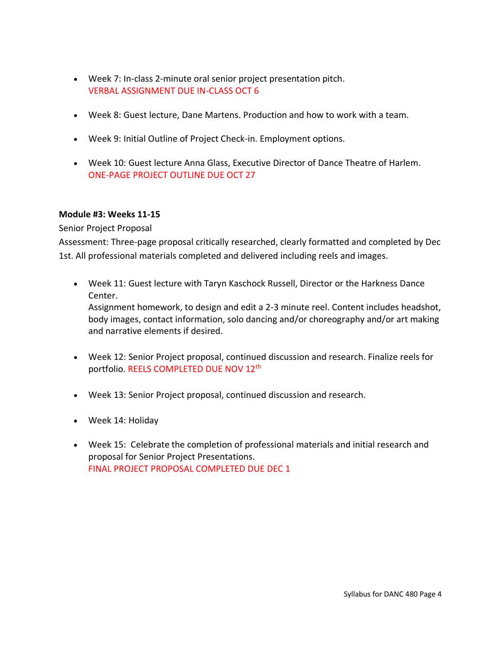- Week 7: In-class 2-minute oral senior project presentation pitch. VERBAL ASSIGNMENT DUE IN-CLASS OCT 6
- Week 8: Guest lecture, Dane Martens. Production and how to work with a team.
- Week 9: Initial Outline of Project Check-in. Employment options.
- Week 10: Guest lecture Anna Glass, Executive Director of Dance Theatre of Harlem. ONE-PAGE PROJECT OUTLINE DUE OCT 27

### **Module #3: Weeks 11-15**

# Senior Project Proposal

Assessment: Three-page proposal critically researched, clearly formatted and completed by Dec 1st. All professional materials completed and delivered including reels and images.

- Week 11: Guest lecture with Taryn Kaschock Russell, Director or the Harkness Dance Center. Assignment homework, to design and edit a 2-3 minute reel. Content includes headshot, body images, contact information, solo dancing and/or choreography and/or art making and narrative elements if desired.
- Week 12: Senior Project proposal, continued discussion and research. Finalize reels for portfolio. REELS COMPLETED DUE NOV 12th
- Week 13: Senior Project proposal, continued discussion and research.
- Week 14: Holiday
- Week 15: Celebrate the completion of professional materials and initial research and proposal for Senior Project Presentations. FINAL PROJECT PROPOSAL COMPLETED DUE DEC 1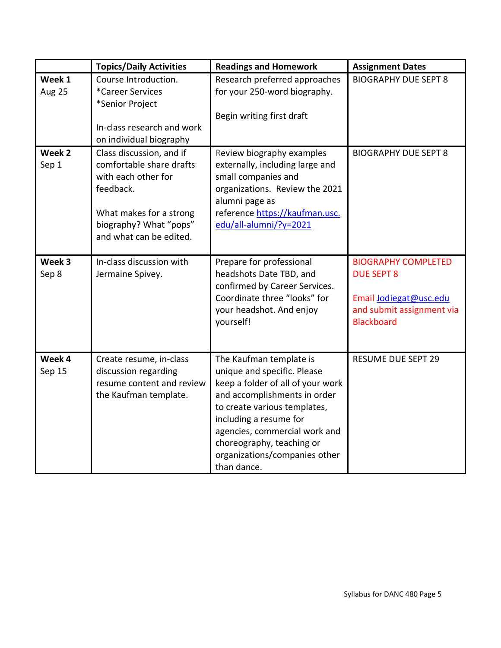|                  | <b>Topics/Daily Activities</b>                                                                                                                                           | <b>Readings and Homework</b>                                                                                                                                                                                                                                                                        | <b>Assignment Dates</b>                                                                                                     |
|------------------|--------------------------------------------------------------------------------------------------------------------------------------------------------------------------|-----------------------------------------------------------------------------------------------------------------------------------------------------------------------------------------------------------------------------------------------------------------------------------------------------|-----------------------------------------------------------------------------------------------------------------------------|
| Week 1<br>Aug 25 | Course Introduction.<br>*Career Services<br>*Senior Project<br>In-class research and work<br>on individual biography                                                     | Research preferred approaches<br>for your 250-word biography.<br>Begin writing first draft                                                                                                                                                                                                          | <b>BIOGRAPHY DUE SEPT 8</b>                                                                                                 |
| Week 2<br>Sep 1  | Class discussion, and if<br>comfortable share drafts<br>with each other for<br>feedback.<br>What makes for a strong<br>biography? What "pops"<br>and what can be edited. | Review biography examples<br>externally, including large and<br>small companies and<br>organizations. Review the 2021<br>alumni page as<br>reference https://kaufman.usc.<br>edu/all-alumni/?y=2021                                                                                                 | <b>BIOGRAPHY DUE SEPT 8</b>                                                                                                 |
| Week 3<br>Sep 8  | In-class discussion with<br>Jermaine Spivey.                                                                                                                             | Prepare for professional<br>headshots Date TBD, and<br>confirmed by Career Services.<br>Coordinate three "looks" for<br>your headshot. And enjoy<br>yourself!                                                                                                                                       | <b>BIOGRAPHY COMPLETED</b><br><b>DUE SEPT 8</b><br>Email Jodiegat@usc.edu<br>and submit assignment via<br><b>Blackboard</b> |
| Week 4<br>Sep 15 | Create resume, in-class<br>discussion regarding<br>resume content and review<br>the Kaufman template.                                                                    | The Kaufman template is<br>unique and specific. Please<br>keep a folder of all of your work<br>and accomplishments in order<br>to create various templates,<br>including a resume for<br>agencies, commercial work and<br>choreography, teaching or<br>organizations/companies other<br>than dance. | <b>RESUME DUE SEPT 29</b>                                                                                                   |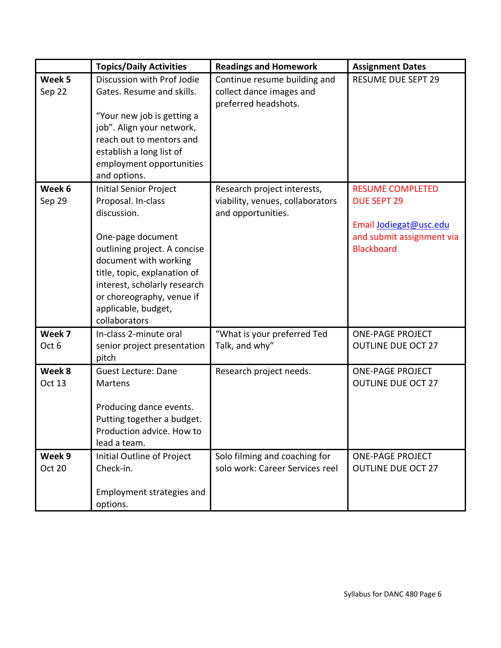|                  | <b>Topics/Daily Activities</b>                                                                                                                                                                                         | <b>Readings and Homework</b>                                                     | <b>Assignment Dates</b>                                                  |
|------------------|------------------------------------------------------------------------------------------------------------------------------------------------------------------------------------------------------------------------|----------------------------------------------------------------------------------|--------------------------------------------------------------------------|
| Week 5<br>Sep 22 | Discussion with Prof Jodie<br>Gates. Resume and skills.<br>"Your new job is getting a<br>job". Align your network,<br>reach out to mentors and<br>establish a long list of<br>employment opportunities<br>and options. | Continue resume building and<br>collect dance images and<br>preferred headshots. | <b>RESUME DUE SEPT 29</b>                                                |
| Week 6           | <b>Initial Senior Project</b>                                                                                                                                                                                          | Research project interests,                                                      | <b>RESUME COMPLETED</b>                                                  |
| Sep 29           | Proposal. In-class<br>discussion.                                                                                                                                                                                      | viability, venues, collaborators<br>and opportunities.                           | <b>DUE SEPT 29</b>                                                       |
|                  | One-page document<br>outlining project. A concise<br>document with working<br>title, topic, explanation of<br>interest, scholarly research<br>or choreography, venue if<br>applicable, budget,<br>collaborators        |                                                                                  | Email Jodiegat@usc.edu<br>and submit assignment via<br><b>Blackboard</b> |
| Week 7<br>Oct 6  | In-class 2-minute oral<br>senior project presentation<br>pitch                                                                                                                                                         | "What is your preferred Ted<br>Talk, and why"                                    | <b>ONE-PAGE PROJECT</b><br><b>OUTLINE DUE OCT 27</b>                     |
| Week 8<br>Oct 13 | <b>Guest Lecture: Dane</b><br>Martens<br>Producing dance events.<br>Putting together a budget.<br>Production advice. How to<br>lead a team.                                                                            | Research project needs.                                                          | <b>ONE-PAGE PROJECT</b><br><b>OUTLINE DUE OCT 27</b>                     |
| Week 9<br>Oct 20 | Initial Outline of Project<br>Check-in.<br>Employment strategies and<br>options.                                                                                                                                       | Solo filming and coaching for<br>solo work: Career Services reel                 | <b>ONE-PAGE PROJECT</b><br><b>OUTLINE DUE OCT 27</b>                     |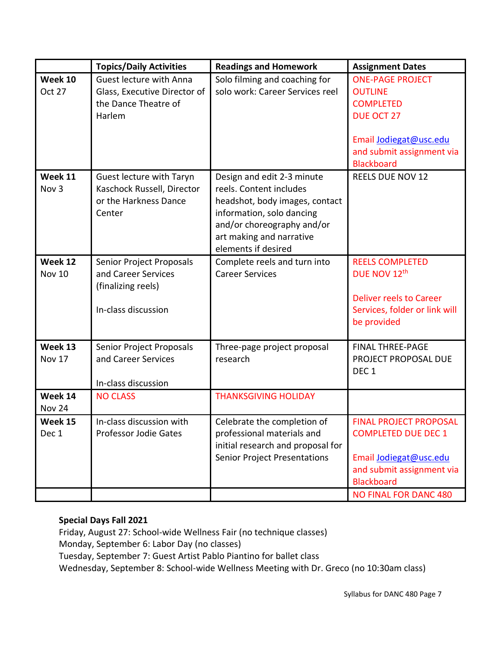|                             | <b>Topics/Daily Activities</b>                                                               | <b>Readings and Homework</b>                                                                                                                                                                          | <b>Assignment Dates</b>                                                                                                                                                 |
|-----------------------------|----------------------------------------------------------------------------------------------|-------------------------------------------------------------------------------------------------------------------------------------------------------------------------------------------------------|-------------------------------------------------------------------------------------------------------------------------------------------------------------------------|
| Week 10<br>Oct 27           | Guest lecture with Anna<br>Glass, Executive Director of<br>the Dance Theatre of<br>Harlem    | Solo filming and coaching for<br>solo work: Career Services reel                                                                                                                                      | <b>ONE-PAGE PROJECT</b><br><b>OUTLINE</b><br><b>COMPLETED</b><br><b>DUE OCT 27</b><br>Email Jodiegat@usc.edu<br>and submit assignment via<br><b>Blackboard</b>          |
| Week 11<br>Nov <sub>3</sub> | Guest lecture with Taryn<br>Kaschock Russell, Director<br>or the Harkness Dance<br>Center    | Design and edit 2-3 minute<br>reels. Content includes<br>headshot, body images, contact<br>information, solo dancing<br>and/or choreography and/or<br>art making and narrative<br>elements if desired | <b>REELS DUE NOV 12</b>                                                                                                                                                 |
| Week 12<br><b>Nov 10</b>    | Senior Project Proposals<br>and Career Services<br>(finalizing reels)<br>In-class discussion | Complete reels and turn into<br><b>Career Services</b>                                                                                                                                                | <b>REELS COMPLETED</b><br>DUE NOV 12th<br><b>Deliver reels to Career</b><br>Services, folder or link will<br>be provided                                                |
| Week 13<br>Nov 17           | Senior Project Proposals<br>and Career Services<br>In-class discussion                       | Three-page project proposal<br>research                                                                                                                                                               | <b>FINAL THREE-PAGE</b><br>PROJECT PROPOSAL DUE<br>DEC <sub>1</sub>                                                                                                     |
| Week 14<br><b>Nov 24</b>    | <b>NO CLASS</b>                                                                              | <b>THANKSGIVING HOLIDAY</b>                                                                                                                                                                           |                                                                                                                                                                         |
| Week 15<br>Dec 1            | In-class discussion with<br><b>Professor Jodie Gates</b>                                     | Celebrate the completion of<br>professional materials and<br>initial research and proposal for<br><b>Senior Project Presentations</b>                                                                 | <b>FINAL PROJECT PROPOSAL</b><br><b>COMPLETED DUE DEC 1</b><br>Email Jodiegat@usc.edu<br>and submit assignment via<br><b>Blackboard</b><br><b>NO FINAL FOR DANC 480</b> |

# **Special Days Fall 2021**

Friday, August 27: School-wide Wellness Fair (no technique classes) Monday, September 6: Labor Day (no classes) Tuesday, September 7: Guest Artist Pablo Piantino for ballet class Wednesday, September 8: School-wide Wellness Meeting with Dr. Greco (no 10:30am class)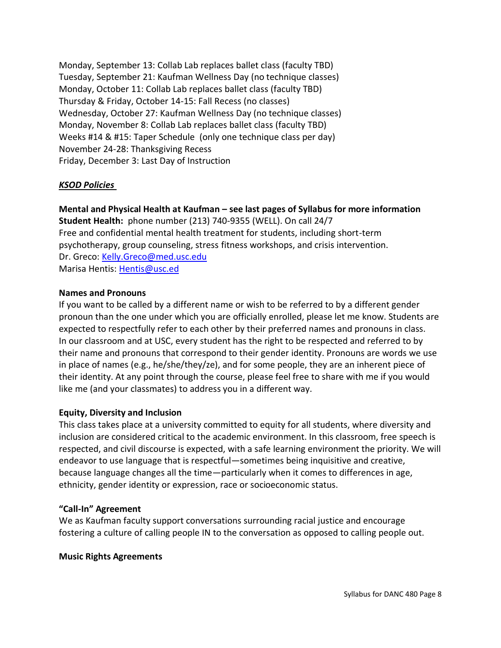Monday, September 13: Collab Lab replaces ballet class (faculty TBD) Tuesday, September 21: Kaufman Wellness Day (no technique classes) Monday, October 11: Collab Lab replaces ballet class (faculty TBD) Thursday & Friday, October 14-15: Fall Recess (no classes) Wednesday, October 27: Kaufman Wellness Day (no technique classes) Monday, November 8: Collab Lab replaces ballet class (faculty TBD) Weeks #14 & #15: Taper Schedule (only one technique class per day) November 24-28: Thanksgiving Recess Friday, December 3: Last Day of Instruction

### *KSOD Policies*

**Mental and Physical Health at Kaufman – see last pages of Syllabus for more information Student Health:** phone number (213) 740-9355 (WELL). On call 24/7 Free and confidential mental health treatment for students, including short-term psychotherapy, group counseling, stress fitness workshops, and crisis intervention. Dr. Greco: [Kelly.Greco@med.usc.edu](mailto:Kelly.Greco@med.usc.edu) Marisa Hentis: [Hentis@usc.ed](mailto:Hentis@usc.ed)

### **Names and Pronouns**

If you want to be called by a different name or wish to be referred to by a different gender pronoun than the one under which you are officially enrolled, please let me know. Students are expected to respectfully refer to each other by their preferred names and pronouns in class. In our classroom and at USC, every student has the right to be respected and referred to by their name and pronouns that correspond to their gender identity. Pronouns are words we use in place of names (e.g., he/she/they/ze), and for some people, they are an inherent piece of their identity. At any point through the course, please feel free to share with me if you would like me (and your classmates) to address you in a different way.

### **Equity, Diversity and Inclusion**

This class takes place at a university committed to equity for all students, where diversity and inclusion are considered critical to the academic environment. In this classroom, free speech is respected, and civil discourse is expected, with a safe learning environment the priority. We will endeavor to use language that is respectful—sometimes being inquisitive and creative, because language changes all the time—particularly when it comes to differences in age, ethnicity, gender identity or expression, race or socioeconomic status.

### **"Call-In" Agreement**

We as Kaufman faculty support conversations surrounding racial justice and encourage fostering a culture of calling people IN to the conversation as opposed to calling people out.

#### **Music Rights Agreements**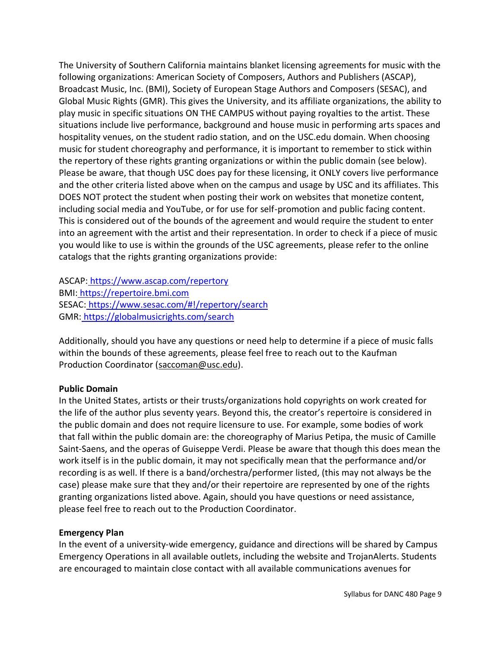The University of Southern California maintains blanket licensing agreements for music with the following organizations: American Society of Composers, Authors and Publishers (ASCAP), Broadcast Music, Inc. (BMI), Society of European Stage Authors and Composers (SESAC), and Global Music Rights (GMR). This gives the University, and its affiliate organizations, the ability to play music in specific situations ON THE CAMPUS without paying royalties to the artist. These situations include live performance, background and house music in performing arts spaces and hospitality venues, on the student radio station, and on the USC.edu domain. When choosing music for student choreography and performance, it is important to remember to stick within the repertory of these rights granting organizations or within the public domain (see below). Please be aware, that though USC does pay for these licensing, it ONLY covers live performance and the other criteria listed above when on the campus and usage by USC and its affiliates. This DOES NOT protect the student when posting their work on websites that monetize content, including social media and YouTube, or for use for self-promotion and public facing content. This is considered out of the bounds of the agreement and would require the student to enter into an agreement with the artist and their representation. In order to check if a piece of music you would like to use is within the grounds of the USC agreements, please refer to the online catalogs that the rights granting organizations provide:

ASCAP: <https://www.ascap.com/repertory> BMI: [https://repertoire.bmi.com](https://repertoire.bmi.com/) SESAC: <https://www.sesac.com/#!/repertory/search> GMR: <https://globalmusicrights.com/search>

Additionally, should you have any questions or need help to determine if a piece of music falls within the bounds of these agreements, please feel free to reach out to the Kaufman Production Coordinator (saccoman@usc.edu).

### **Public Domain**

In the United States, artists or their trusts/organizations hold copyrights on work created for the life of the author plus seventy years. Beyond this, the creator's repertoire is considered in the public domain and does not require licensure to use. For example, some bodies of work that fall within the public domain are: the choreography of Marius Petipa, the music of Camille Saint-Saens, and the operas of Guiseppe Verdi. Please be aware that though this does mean the work itself is in the public domain, it may not specifically mean that the performance and/or recording is as well. If there is a band/orchestra/performer listed, (this may not always be the case) please make sure that they and/or their repertoire are represented by one of the rights granting organizations listed above. Again, should you have questions or need assistance, please feel free to reach out to the Production Coordinator.

### **Emergency Plan**

In the event of a university-wide emergency, guidance and directions will be shared by Campus Emergency Operations in all available outlets, including the website and TrojanAlerts. Students are encouraged to maintain close contact with all available communications avenues for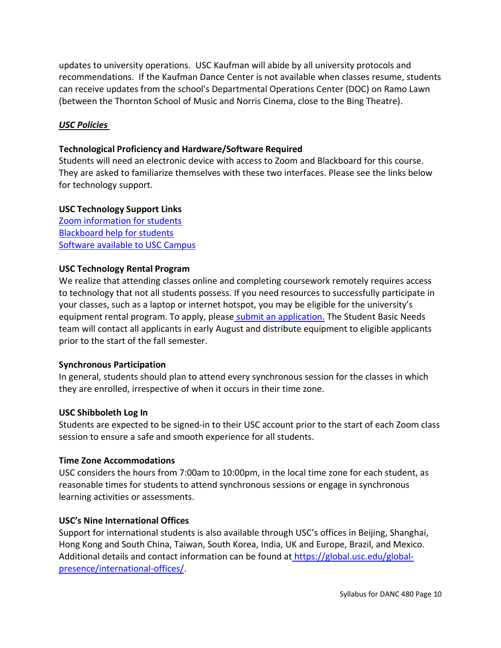updates to university operations. USC Kaufman will abide by all university protocols and recommendations. If the Kaufman Dance Center is not available when classes resume, students can receive updates from the school's Departmental Operations Center (DOC) on Ramo Lawn (between the Thornton School of Music and Norris Cinema, close to the Bing Theatre).

### *USC Policies*

### **Technological Proficiency and Hardware/Software Required**

Students will need an electronic device with access to Zoom and Blackboard for this course. They are asked to familiarize themselves with these two interfaces. Please see the links below for technology support.

#### **USC Technology Support Links**

[Zoom information for students](https://keepteaching.usc.edu/students/student-toolkit/classroom/zoom/) [Blackboard help for students](https://studentblackboardhelp.usc.edu/) [Software available to USC Campus](https://software.usc.edu/)

#### **USC Technology Rental Program**

We realize that attending classes online and completing coursework remotely requires access to technology that not all students possess. If you need resources to successfully participate in your classes, such as a laptop or internet hotspot, you may be eligible for the university's equipment rental program. To apply, please [submit an application.](https://studentbasicneeds.usc.edu/resources/technology-assistance/) The Student Basic Needs team will contact all applicants in early August and distribute equipment to eligible applicants prior to the start of the fall semester.

#### **Synchronous Participation**

In general, students should plan to attend every synchronous session for the classes in which they are enrolled, irrespective of when it occurs in their time zone.

#### **USC Shibboleth Log In**

Students are expected to be signed-in to their USC account prior to the start of each Zoom class session to ensure a safe and smooth experience for all students.

#### **Time Zone Accommodations**

USC considers the hours from 7:00am to 10:00pm, in the local time zone for each student, as reasonable times for students to attend synchronous sessions or engage in synchronous learning activities or assessments.

### **USC's Nine International Offices**

Support for international students is also available through USC's offices in Beijing, Shanghai, Hong Kong and South China, Taiwan, South Korea, India, UK and Europe, Brazil, and Mexico. Additional details and contact information can be found at [https://global.usc.edu/global](http://click.comms.usc.edu/?qs=c79d21e58ec0c0385407e9af52d74744c7d898474dab66d4963816ae0f15c672d2e4c5d0df213a49a55b55494b5ffe13afbf57b2693386b1)[presence/international-offices/.](http://click.comms.usc.edu/?qs=c79d21e58ec0c0385407e9af52d74744c7d898474dab66d4963816ae0f15c672d2e4c5d0df213a49a55b55494b5ffe13afbf57b2693386b1)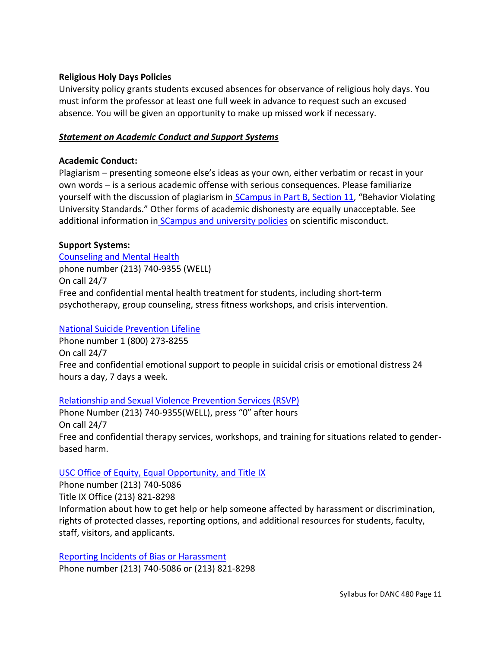### **Religious Holy Days Policies**

University policy grants students excused absences for observance of religious holy days. You must inform the professor at least one full week in advance to request such an excused absence. You will be given an opportunity to make up missed work if necessary.

### *Statement on Academic Conduct and Support Systems*

#### **Academic Conduct:**

Plagiarism – presenting someone else's ideas as your own, either verbatim or recast in your own words – is a serious academic offense with serious consequences. Please familiarize yourself with the discussion of plagiarism in [SCampus in Part B, Section 11](http://policy.usc.edu/scampus-part-b), "Behavior Violating University Standards." Other forms of academic dishonesty are equally unacceptable. See additional information in **[SCampus and university policies](http://policy.usc.edu/scientific-misconduct) on scientific misconduct.** 

### **Support Systems:**

[Counseling and Mental Health](http://studenthealth.usc.edu/counseling) phone number (213) 740-9355 (WELL) On call 24/7 Free and confidential mental health treatment for students, including short-term psychotherapy, group counseling, stress fitness workshops, and crisis intervention.

#### [National Suicide Prevention Lifeline](http://suicidepreventionlifeline.org/)

Phone number 1 (800) 273-8255 On call 24/7 Free and confidential emotional support to people in suicidal crisis or emotional distress 24 hours a day, 7 days a week.

### [Relationship and Sexual Violence Prevention Services \(RSVP\)](http://studenthealth.usc.edu/sexual-assault)

Phone Number (213) 740-9355(WELL), press "0" after hours On call 24/7 Free and confidential therapy services, workshops, and training for situations related to genderbased harm.

#### [USC Office of Equity, Equal Opportunity, and Title IX](https://eeotix.usc.edu/)

Phone number (213) 740-5086 Title IX Office (213) 821-8298 Information about how to get help or help someone affected by harassment or discrimination, rights of protected classes, reporting options, and additional resources for students, faculty, staff, visitors, and applicants.

[Reporting Incidents of Bias or Harassment](https://usc-advocate.symplicity.com/care_report/index.php/pid251030?) Phone number (213) 740-5086 or (213) 821-8298